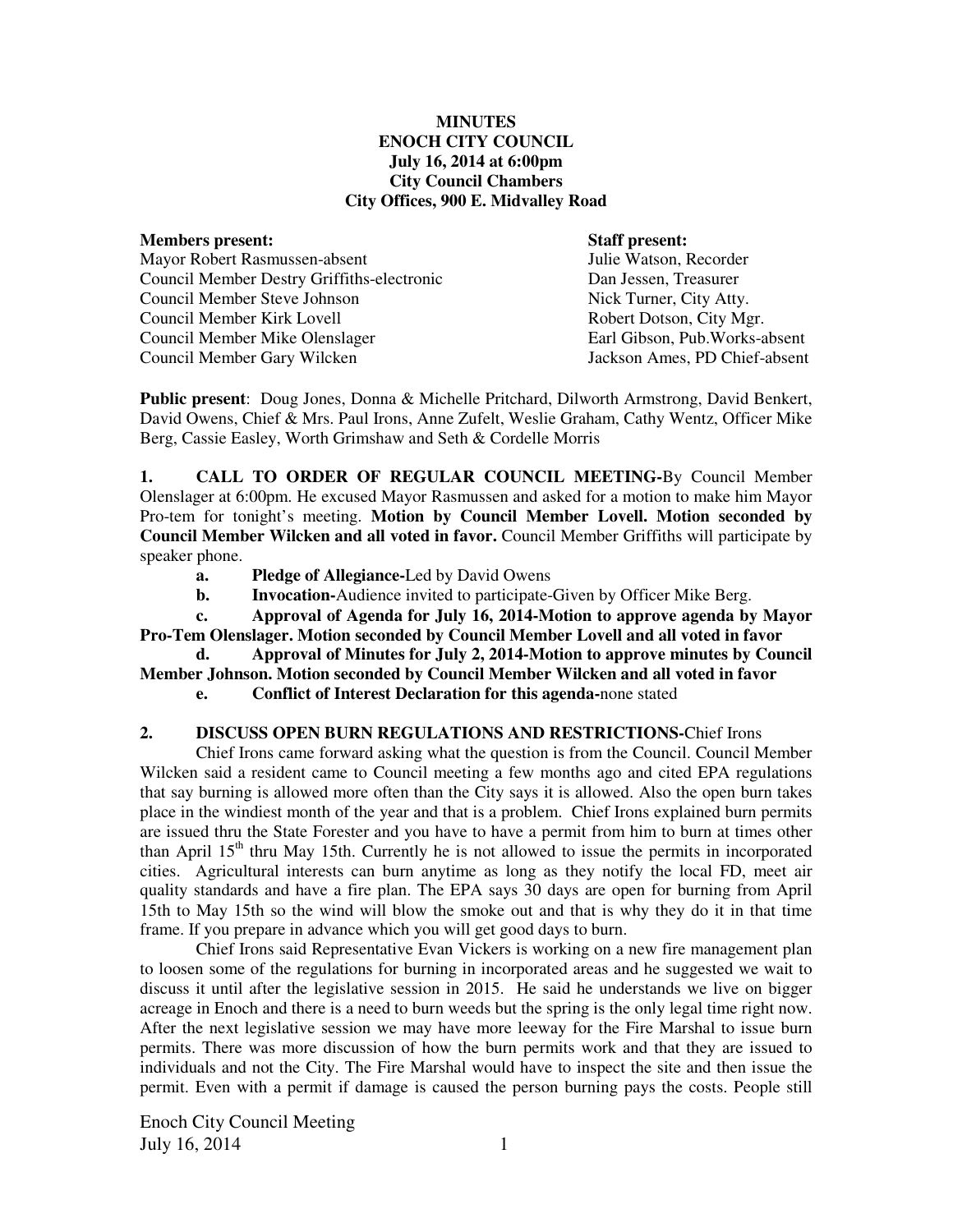#### **MINUTES ENOCH CITY COUNCIL July 16, 2014 at 6:00pm City Council Chambers City Offices, 900 E. Midvalley Road**

#### **Members present: Staff present:**

| Mayor Robert Rasmussen-absent              |
|--------------------------------------------|
| Council Member Destry Griffiths-electronic |
| Council Member Steve Johnson               |
| Council Member Kirk Lovell                 |
| Council Member Mike Olenslager             |
| Council Member Gary Wilcken                |
|                                            |

Julie Watson, Recorder Dan Jessen, Treasurer Nick Turner, City Atty. Robert Dotson, City Mgr. Earl Gibson, Pub.Works-absent Jackson Ames, PD Chief-absent

**Public present**: Doug Jones, Donna & Michelle Pritchard, Dilworth Armstrong, David Benkert, David Owens, Chief & Mrs. Paul Irons, Anne Zufelt, Weslie Graham, Cathy Wentz, Officer Mike Berg, Cassie Easley, Worth Grimshaw and Seth & Cordelle Morris

**1. CALL TO ORDER OF REGULAR COUNCIL MEETING-**By Council Member Olenslager at 6:00pm. He excused Mayor Rasmussen and asked for a motion to make him Mayor Pro-tem for tonight's meeting. **Motion by Council Member Lovell. Motion seconded by Council Member Wilcken and all voted in favor.** Council Member Griffiths will participate by speaker phone.

- **a. Pledge of Allegiance-**Led by David Owens
- **b.** Invocation-Audience invited to participate-Given by Officer Mike Berg.

 **c. Approval of Agenda for July 16, 2014-Motion to approve agenda by Mayor Pro-Tem Olenslager. Motion seconded by Council Member Lovell and all voted in favor** 

 **d. Approval of Minutes for July 2, 2014-Motion to approve minutes by Council Member Johnson. Motion seconded by Council Member Wilcken and all voted in favor** 

 **e. Conflict of Interest Declaration for this agenda-**none stated

## **2. DISCUSS OPEN BURN REGULATIONS AND RESTRICTIONS-**Chief Irons

Chief Irons came forward asking what the question is from the Council. Council Member Wilcken said a resident came to Council meeting a few months ago and cited EPA regulations that say burning is allowed more often than the City says it is allowed. Also the open burn takes place in the windiest month of the year and that is a problem.Chief Irons explained burn permits are issued thru the State Forester and you have to have a permit from him to burn at times other than April  $15<sup>th</sup>$  thru May 15th. Currently he is not allowed to issue the permits in incorporated cities. Agricultural interests can burn anytime as long as they notify the local FD, meet air quality standards and have a fire plan. The EPA says 30 days are open for burning from April 15th to May 15th so the wind will blow the smoke out and that is why they do it in that time frame. If you prepare in advance which you will get good days to burn.

Chief Irons said Representative Evan Vickers is working on a new fire management plan to loosen some of the regulations for burning in incorporated areas and he suggested we wait to discuss it until after the legislative session in 2015. He said he understands we live on bigger acreage in Enoch and there is a need to burn weeds but the spring is the only legal time right now. After the next legislative session we may have more leeway for the Fire Marshal to issue burn permits. There was more discussion of how the burn permits work and that they are issued to individuals and not the City. The Fire Marshal would have to inspect the site and then issue the permit. Even with a permit if damage is caused the person burning pays the costs. People still

Enoch City Council Meeting July 16, 2014  $1$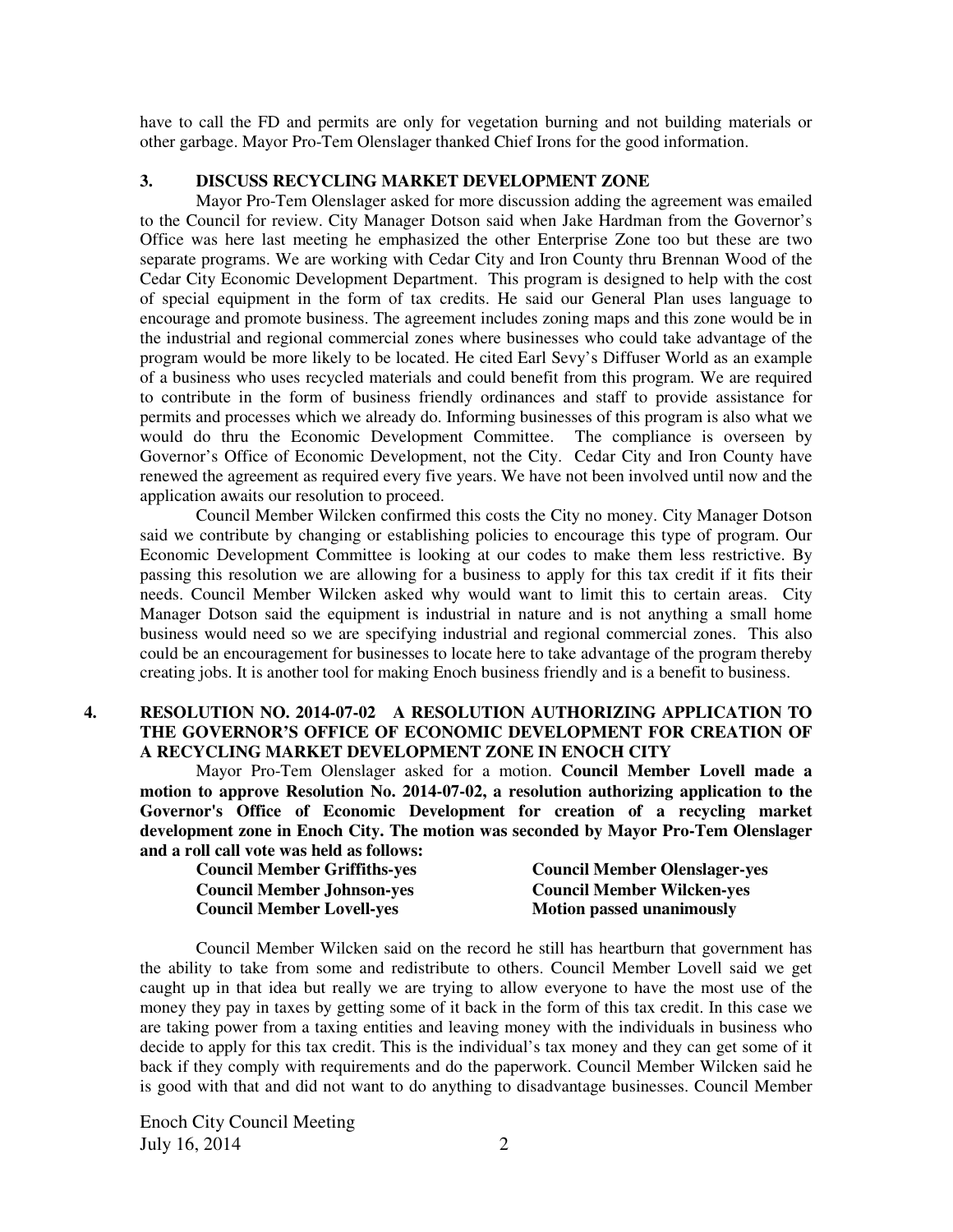have to call the FD and permits are only for vegetation burning and not building materials or other garbage. Mayor Pro-Tem Olenslager thanked Chief Irons for the good information.

# **3. DISCUSS RECYCLING MARKET DEVELOPMENT ZONE**

Mayor Pro-Tem Olenslager asked for more discussion adding the agreement was emailed to the Council for review. City Manager Dotson said when Jake Hardman from the Governor's Office was here last meeting he emphasized the other Enterprise Zone too but these are two separate programs. We are working with Cedar City and Iron County thru Brennan Wood of the Cedar City Economic Development Department. This program is designed to help with the cost of special equipment in the form of tax credits. He said our General Plan uses language to encourage and promote business. The agreement includes zoning maps and this zone would be in the industrial and regional commercial zones where businesses who could take advantage of the program would be more likely to be located. He cited Earl Sevy's Diffuser World as an example of a business who uses recycled materials and could benefit from this program. We are required to contribute in the form of business friendly ordinances and staff to provide assistance for permits and processes which we already do. Informing businesses of this program is also what we would do thru the Economic Development Committee. The compliance is overseen by Governor's Office of Economic Development, not the City. Cedar City and Iron County have renewed the agreement as required every five years. We have not been involved until now and the application awaits our resolution to proceed.

Council Member Wilcken confirmed this costs the City no money. City Manager Dotson said we contribute by changing or establishing policies to encourage this type of program. Our Economic Development Committee is looking at our codes to make them less restrictive. By passing this resolution we are allowing for a business to apply for this tax credit if it fits their needs. Council Member Wilcken asked why would want to limit this to certain areas. City Manager Dotson said the equipment is industrial in nature and is not anything a small home business would need so we are specifying industrial and regional commercial zones. This also could be an encouragement for businesses to locate here to take advantage of the program thereby creating jobs. It is another tool for making Enoch business friendly and is a benefit to business.

## **4. RESOLUTION NO. 2014-07-02 A RESOLUTION AUTHORIZING APPLICATION TO THE GOVERNOR'S OFFICE OF ECONOMIC DEVELOPMENT FOR CREATION OF A RECYCLING MARKET DEVELOPMENT ZONE IN ENOCH CITY**

Mayor Pro-Tem Olenslager asked for a motion. **Council Member Lovell made a motion to approve Resolution No. 2014-07-02, a resolution authorizing application to the Governor's Office of Economic Development for creation of a recycling market development zone in Enoch City. The motion was seconded by Mayor Pro-Tem Olenslager and a roll call vote was held as follows:** 

| <b>Council Member Griffiths-yes</b> | <b>Council Member Olenslager-yes</b> |
|-------------------------------------|--------------------------------------|
| <b>Council Member Johnson-yes</b>   | <b>Council Member Wilcken-yes</b>    |
| <b>Council Member Lovell-yes</b>    | <b>Motion passed unanimously</b>     |

Council Member Wilcken said on the record he still has heartburn that government has the ability to take from some and redistribute to others. Council Member Lovell said we get caught up in that idea but really we are trying to allow everyone to have the most use of the money they pay in taxes by getting some of it back in the form of this tax credit. In this case we are taking power from a taxing entities and leaving money with the individuals in business who decide to apply for this tax credit. This is the individual's tax money and they can get some of it back if they comply with requirements and do the paperwork. Council Member Wilcken said he is good with that and did not want to do anything to disadvantage businesses. Council Member

Enoch City Council Meeting July 16, 2014 2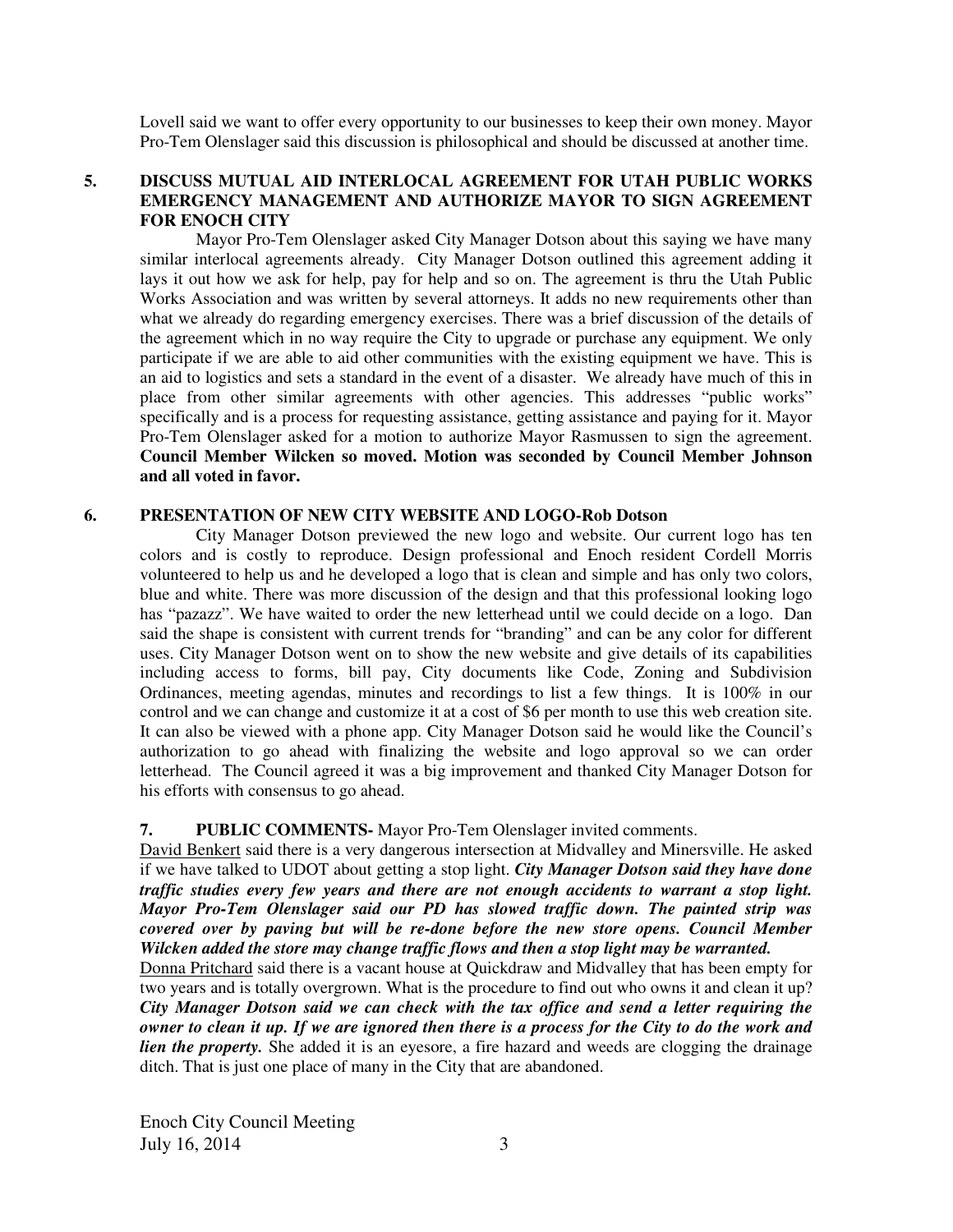Lovell said we want to offer every opportunity to our businesses to keep their own money. Mayor Pro-Tem Olenslager said this discussion is philosophical and should be discussed at another time.

## **5. DISCUSS MUTUAL AID INTERLOCAL AGREEMENT FOR UTAH PUBLIC WORKS EMERGENCY MANAGEMENT AND AUTHORIZE MAYOR TO SIGN AGREEMENT FOR ENOCH CITY**

Mayor Pro-Tem Olenslager asked City Manager Dotson about this saying we have many similar interlocal agreements already. City Manager Dotson outlined this agreement adding it lays it out how we ask for help, pay for help and so on. The agreement is thru the Utah Public Works Association and was written by several attorneys. It adds no new requirements other than what we already do regarding emergency exercises. There was a brief discussion of the details of the agreement which in no way require the City to upgrade or purchase any equipment. We only participate if we are able to aid other communities with the existing equipment we have. This is an aid to logistics and sets a standard in the event of a disaster. We already have much of this in place from other similar agreements with other agencies. This addresses "public works" specifically and is a process for requesting assistance, getting assistance and paying for it. Mayor Pro-Tem Olenslager asked for a motion to authorize Mayor Rasmussen to sign the agreement. **Council Member Wilcken so moved. Motion was seconded by Council Member Johnson and all voted in favor.** 

## **6. PRESENTATION OF NEW CITY WEBSITE AND LOGO-Rob Dotson**

City Manager Dotson previewed the new logo and website. Our current logo has ten colors and is costly to reproduce. Design professional and Enoch resident Cordell Morris volunteered to help us and he developed a logo that is clean and simple and has only two colors, blue and white. There was more discussion of the design and that this professional looking logo has "pazazz". We have waited to order the new letterhead until we could decide on a logo. Dan said the shape is consistent with current trends for "branding" and can be any color for different uses. City Manager Dotson went on to show the new website and give details of its capabilities including access to forms, bill pay, City documents like Code, Zoning and Subdivision Ordinances, meeting agendas, minutes and recordings to list a few things. It is 100% in our control and we can change and customize it at a cost of \$6 per month to use this web creation site. It can also be viewed with a phone app. City Manager Dotson said he would like the Council's authorization to go ahead with finalizing the website and logo approval so we can order letterhead. The Council agreed it was a big improvement and thanked City Manager Dotson for his efforts with consensus to go ahead.

## **7. PUBLIC COMMENTS-** Mayor Pro-Tem Olenslager invited comments.

David Benkert said there is a very dangerous intersection at Midvalley and Minersville. He asked if we have talked to UDOT about getting a stop light. *City Manager Dotson said they have done traffic studies every few years and there are not enough accidents to warrant a stop light. Mayor Pro-Tem Olenslager said our PD has slowed traffic down. The painted strip was covered over by paving but will be re-done before the new store opens. Council Member Wilcken added the store may change traffic flows and then a stop light may be warranted.* 

Donna Pritchard said there is a vacant house at Quickdraw and Midvalley that has been empty for two years and is totally overgrown. What is the procedure to find out who owns it and clean it up? *City Manager Dotson said we can check with the tax office and send a letter requiring the owner to clean it up. If we are ignored then there is a process for the City to do the work and lien the property.* She added it is an eyesore, a fire hazard and weeds are clogging the drainage ditch. That is just one place of many in the City that are abandoned.

Enoch City Council Meeting July 16, 2014  $\frac{3}{3}$